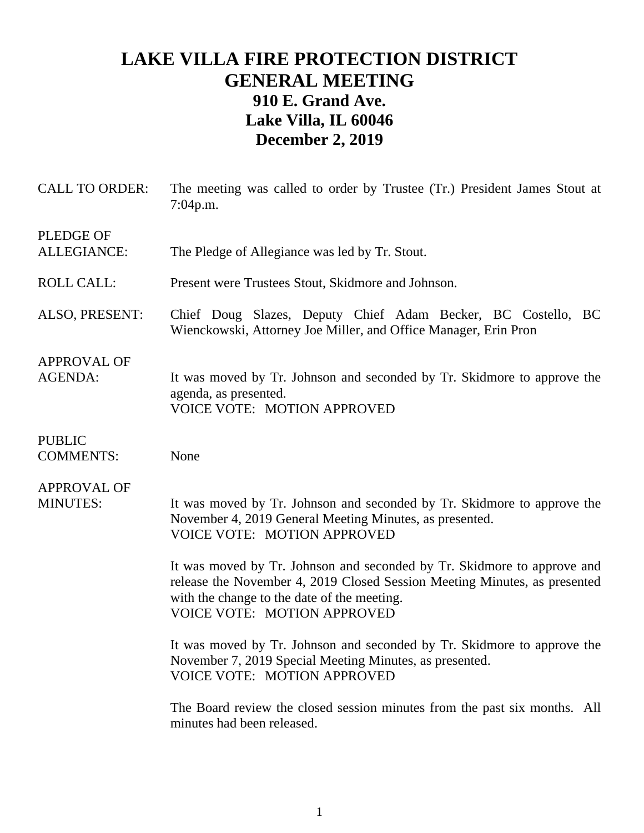# **LAKE VILLA FIRE PROTECTION DISTRICT GENERAL MEETING 910 E. Grand Ave. Lake Villa, IL 60046 December 2, 2019**

| <b>CALL TO ORDER:</b>                  | The meeting was called to order by Trustee (Tr.) President James Stout at<br>7:04p.m.                                                                                                                                                     |
|----------------------------------------|-------------------------------------------------------------------------------------------------------------------------------------------------------------------------------------------------------------------------------------------|
| <b>PLEDGE OF</b><br><b>ALLEGIANCE:</b> | The Pledge of Allegiance was led by Tr. Stout.                                                                                                                                                                                            |
| <b>ROLL CALL:</b>                      | Present were Trustees Stout, Skidmore and Johnson.                                                                                                                                                                                        |
| ALSO, PRESENT:                         | Chief Doug Slazes, Deputy Chief Adam Becker, BC Costello, BC<br>Wienckowski, Attorney Joe Miller, and Office Manager, Erin Pron                                                                                                           |
| <b>APPROVAL OF</b><br><b>AGENDA:</b>   | It was moved by Tr. Johnson and seconded by Tr. Skidmore to approve the<br>agenda, as presented.<br><b>VOICE VOTE: MOTION APPROVED</b>                                                                                                    |
| <b>PUBLIC</b><br><b>COMMENTS:</b>      | None                                                                                                                                                                                                                                      |
| <b>APPROVAL OF</b><br><b>MINUTES:</b>  | It was moved by Tr. Johnson and seconded by Tr. Skidmore to approve the<br>November 4, 2019 General Meeting Minutes, as presented.<br><b>VOICE VOTE: MOTION APPROVED</b>                                                                  |
|                                        | It was moved by Tr. Johnson and seconded by Tr. Skidmore to approve and<br>release the November 4, 2019 Closed Session Meeting Minutes, as presented<br>with the change to the date of the meeting.<br><b>VOICE VOTE: MOTION APPROVED</b> |
|                                        | It was moved by Tr. Johnson and seconded by Tr. Skidmore to approve the<br>November 7, 2019 Special Meeting Minutes, as presented.<br>VOICE VOTE: MOTION APPROVED                                                                         |
|                                        | The Board review the closed session minutes from the past six months. All<br>minutes had been released.                                                                                                                                   |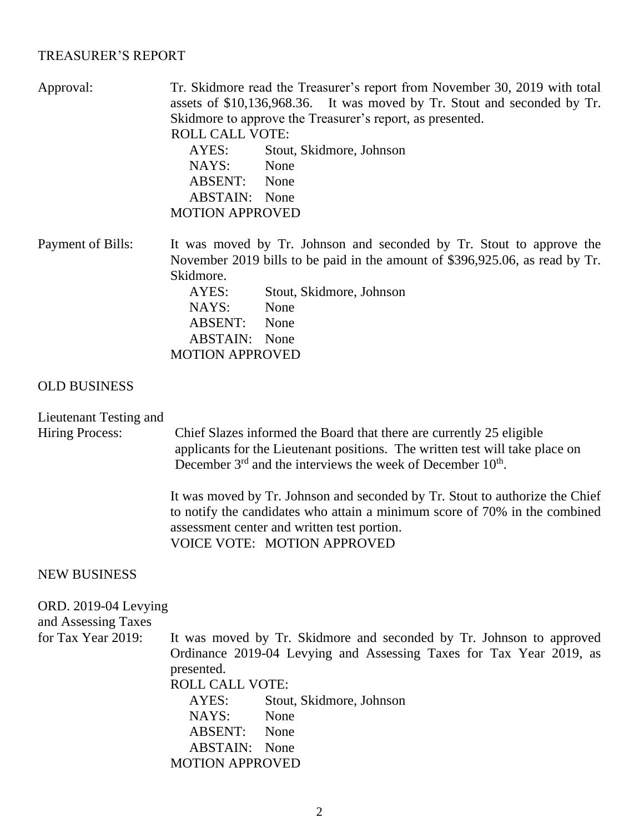### TREASURER'S REPORT

| Approval:                                        | Tr. Skidmore read the Treasurer's report from November 30, 2019 with total<br>assets of \$10,136,968.36. It was moved by Tr. Stout and seconded by Tr.<br>Skidmore to approve the Treasurer's report, as presented.<br><b>ROLL CALL VOTE:</b><br>AYES:<br>Stout, Skidmore, Johnson<br>None<br>NAYS:<br>ABSENT: None<br><b>ABSTAIN:</b> None<br><b>MOTION APPROVED</b> |
|--------------------------------------------------|-----------------------------------------------------------------------------------------------------------------------------------------------------------------------------------------------------------------------------------------------------------------------------------------------------------------------------------------------------------------------|
| Payment of Bills:                                | It was moved by Tr. Johnson and seconded by Tr. Stout to approve the<br>November 2019 bills to be paid in the amount of \$396,925.06, as read by Tr.<br>Skidmore.<br>AYES:<br>Stout, Skidmore, Johnson<br>NAYS:<br>None<br>ABSENT: None<br><b>ABSTAIN:</b> None<br><b>MOTION APPROVED</b>                                                                             |
| <b>OLD BUSINESS</b>                              |                                                                                                                                                                                                                                                                                                                                                                       |
| Lieutenant Testing and<br><b>Hiring Process:</b> | Chief Slazes informed the Board that there are currently 25 eligible<br>applicants for the Lieutenant positions. The written test will take place on<br>December 3 <sup>rd</sup> and the interviews the week of December 10 <sup>th</sup> .                                                                                                                           |

It was moved by Tr. Johnson and seconded by Tr. Stout to authorize the Chief to notify the candidates who attain a minimum score of 70% in the combined assessment center and written test portion. VOICE VOTE: MOTION APPROVED

### NEW BUSINESS

#### ORD. 2019-04 Levying

and Assessing Taxes

for Tax Year 2019: It was moved by Tr. Skidmore and seconded by Tr. Johnson to approved Ordinance 2019-04 Levying and Assessing Taxes for Tax Year 2019, as presented.

> ROLL CALL VOTE: AYES: Stout, Skidmore, Johnson NAYS: None ABSENT: None ABSTAIN: None MOTION APPROVED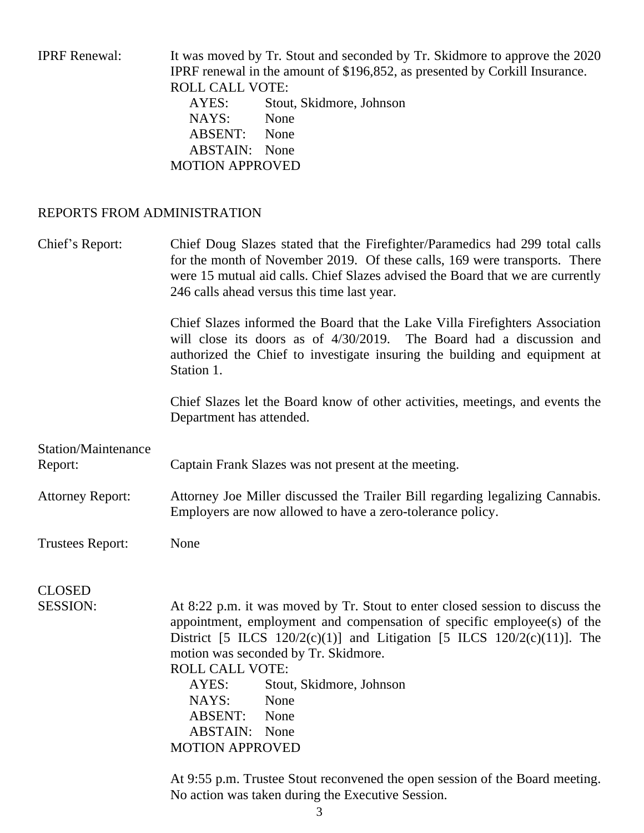IPRF Renewal: It was moved by Tr. Stout and seconded by Tr. Skidmore to approve the 2020 IPRF renewal in the amount of \$196,852, as presented by Corkill Insurance. ROLL CALL VOTE: AYES: Stout, Skidmore, Johnson NAYS: None ABSENT: None ABSTAIN: None MOTION APPROVED REPORTS FROM ADMINISTRATION

Chief's Report: Chief Doug Slazes stated that the Firefighter/Paramedics had 299 total calls for the month of November 2019. Of these calls, 169 were transports. There were 15 mutual aid calls. Chief Slazes advised the Board that we are currently 246 calls ahead versus this time last year.

> Chief Slazes informed the Board that the Lake Villa Firefighters Association will close its doors as of  $4/30/2019$ . The Board had a discussion and authorized the Chief to investigate insuring the building and equipment at Station 1.

> Chief Slazes let the Board know of other activities, meetings, and events the Department has attended.

Station/Maintenance Report: Captain Frank Slazes was not present at the meeting.

Attorney Report: Attorney Joe Miller discussed the Trailer Bill regarding legalizing Cannabis. Employers are now allowed to have a zero-tolerance policy.

Trustees Report: None

CLOSED

SESSION: At 8:22 p.m. it was moved by Tr. Stout to enter closed session to discuss the appointment, employment and compensation of specific employee(s) of the District [5 ILCS  $120/2(c)(1)$ ] and Litigation [5 ILCS  $120/2(c)(11)$ ]. The motion was seconded by Tr. Skidmore. ROLL CALL VOTE:

> AYES: Stout, Skidmore, Johnson NAYS: None ABSENT: None ABSTAIN: None MOTION APPROVED

At 9:55 p.m. Trustee Stout reconvened the open session of the Board meeting. No action was taken during the Executive Session.